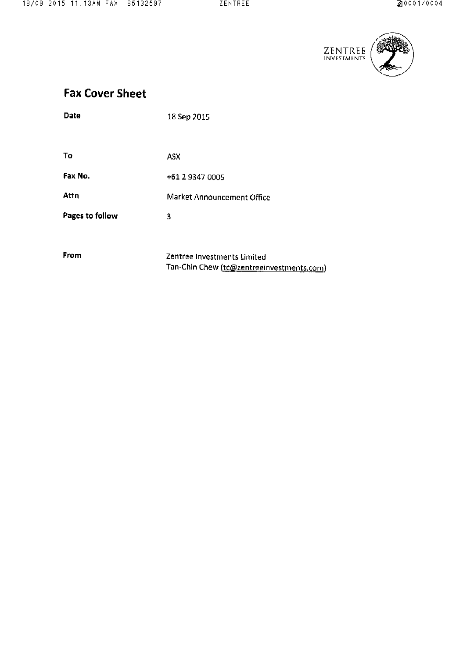

# **Fax Cover Sheet**

| Date            | 18 Sep 2015                                                              |
|-----------------|--------------------------------------------------------------------------|
|                 |                                                                          |
| To              | <b>ASX</b>                                                               |
| Fax No.         | +61 2 9347 0005                                                          |
| Attn            | Market Announcement Office                                               |
| Pages to follow | 3                                                                        |
|                 |                                                                          |
| From            | Zentree Investments Limited<br>Tan-Chin Chew (to@zentreginvestments.com) |

 $\label{eq:2.1} \frac{1}{\sqrt{2}}\int_{\mathbb{R}^3}\frac{1}{\sqrt{2}}\left(\frac{1}{\sqrt{2}}\right)^2\left(\frac{1}{\sqrt{2}}\right)^2\left(\frac{1}{\sqrt{2}}\right)^2\left(\frac{1}{\sqrt{2}}\right)^2\left(\frac{1}{\sqrt{2}}\right)^2.$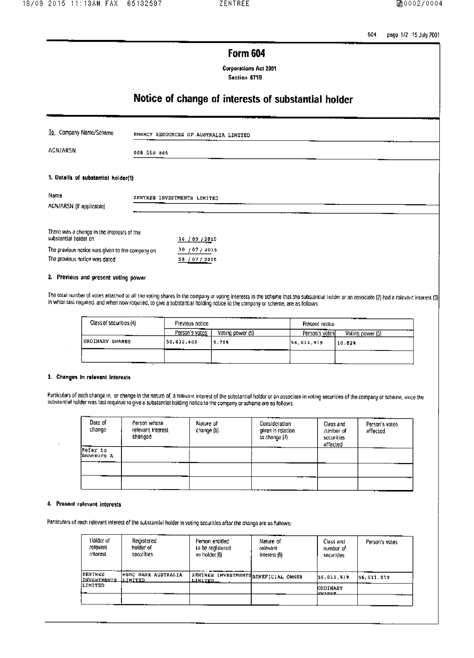604 page 1/2 15 July 2001

## **Form 604**

**Corporations Act 2001** Section 671B

# Notice of change of interests of substantial holder

| To Company Name/Scheme                                                           |             | ENERGY RESOURCES OF AUSTRALIA LIMITED |  |
|----------------------------------------------------------------------------------|-------------|---------------------------------------|--|
| ACN/ARSN                                                                         | 008 550 865 |                                       |  |
| 1. Dotails of substantial holder(1)                                              |             |                                       |  |
| Name<br>ACN/ARSN (If applicable)                                                 |             | ZENTREE INVESTMENTS LIMITED           |  |
| There was a change in the interests of the<br>substantial holder on              |             | 16/09/2015                            |  |
| The previous notice was given to the company on<br>The previous notice was dated |             | 30/07/2015<br>28 / 07 / 2015          |  |
| 2. Previous and present voting power                                             |             |                                       |  |

The total number of votes attached to all the voting shares in the company or voting interests in the scheme that the substantial holder or an associate (2) had a relevant interest (3) in when last required, and when now required, to give a substantial holding notice to the company or scheme, are as follows:

| ------<br>Class of securities (4) | .<br>Previous notico |                  | Present notice         |                  |  |
|-----------------------------------|----------------------|------------------|------------------------|------------------|--|
| ----                              | Person's votos       | Voting power (5) | ----<br>Person's votes | Voting power (5) |  |
| ORDINARY SHARES                   | 50.632,402           | 9.78%            | 56,011.919             | 10.02%           |  |
|                                   |                      |                  |                        |                  |  |

#### 3. Changes in relevant interests

J.

Particulars of each change in, or change in the nature of, a relevant interest of the substantial holder or an associate in voting securities of the company or scheme, since the substantial holder was last required to give a substantial holding notice to the company or scheme are as follows:

| Date of<br>change      | Person whose<br>relevant interest<br>changed | Nature of<br>change (6) | Consideration<br>given in relation<br>to change (7) | Class and<br>number of<br>securities<br>affected | Person's votos<br>affected |
|------------------------|----------------------------------------------|-------------------------|-----------------------------------------------------|--------------------------------------------------|----------------------------|
| Refer to<br>Annexure A | .                                            |                         |                                                     |                                                  |                            |
|                        |                                              |                         |                                                     |                                                  |                            |
|                        |                                              |                         |                                                     |                                                  |                            |

### 4. Present relevant interests

Particulars of each relevant interest of the substantial holder in voting securities after the change are as follows:

| Holder uf<br>relevant<br><b>Interest</b> | Registered<br>halder of<br>securities | Person entitled<br>to be realstered.<br>as holder (8)  | Nature of<br>rolovant<br>interest (6) | Class and<br>number of<br>securities | Person's votes |
|------------------------------------------|---------------------------------------|--------------------------------------------------------|---------------------------------------|--------------------------------------|----------------|
| IZRNTREE<br>INVESTMENTS LIMITED          | HEBC BANK AUSTRALIA                   | ZENTREE INVESTMENTS DENEFICIAL OWNER<br><b>LIMITED</b> |                                       | 56,011,919                           | 156.011.019    |
| ILIMITED                                 |                                       |                                                        |                                       | <b>ORDINARY</b><br>ku we             |                |
|                                          |                                       |                                                        |                                       |                                      |                |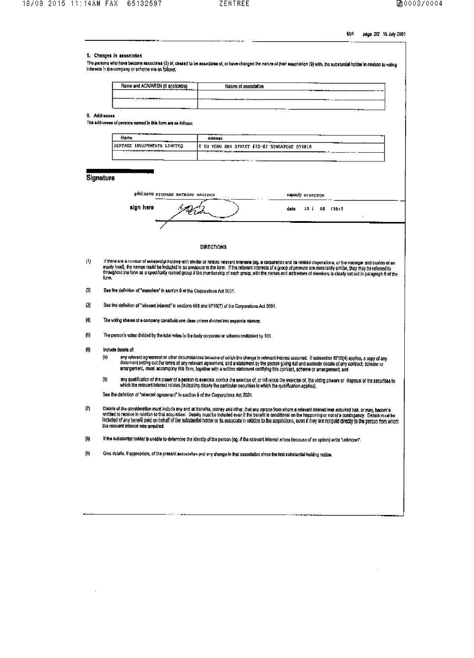$\mathcal{L}^{\text{max}}_{\text{max}}$  ,  $\mathcal{L}^{\text{max}}_{\text{max}}$ 

604 page 2/2 15 July 2001

 $\mathcal{L}^{\text{max}}_{\text{max}}$ 

| 6. Addresses                                           |                                                                                                                                                                                     |                                                                                                                        |                                                                                                                                                                                                                                                                                                                                                                                                                                                                                                                                |  |
|--------------------------------------------------------|-------------------------------------------------------------------------------------------------------------------------------------------------------------------------------------|------------------------------------------------------------------------------------------------------------------------|--------------------------------------------------------------------------------------------------------------------------------------------------------------------------------------------------------------------------------------------------------------------------------------------------------------------------------------------------------------------------------------------------------------------------------------------------------------------------------------------------------------------------------|--|
|                                                        |                                                                                                                                                                                     |                                                                                                                        |                                                                                                                                                                                                                                                                                                                                                                                                                                                                                                                                |  |
|                                                        |                                                                                                                                                                                     |                                                                                                                        |                                                                                                                                                                                                                                                                                                                                                                                                                                                                                                                                |  |
|                                                        | The addiverses of persons named in this form are es follows:                                                                                                                        |                                                                                                                        |                                                                                                                                                                                                                                                                                                                                                                                                                                                                                                                                |  |
|                                                        | Name                                                                                                                                                                                | <b>Address</b>                                                                                                         |                                                                                                                                                                                                                                                                                                                                                                                                                                                                                                                                |  |
|                                                        | ZENTREE INVESTMENTS LIMITED                                                                                                                                                         | 8 KU TONG SEN STREET #20-87 SINGAPORE 059810                                                                           |                                                                                                                                                                                                                                                                                                                                                                                                                                                                                                                                |  |
|                                                        |                                                                                                                                                                                     |                                                                                                                        |                                                                                                                                                                                                                                                                                                                                                                                                                                                                                                                                |  |
|                                                        |                                                                                                                                                                                     |                                                                                                                        |                                                                                                                                                                                                                                                                                                                                                                                                                                                                                                                                |  |
|                                                        | Signature                                                                                                                                                                           |                                                                                                                        |                                                                                                                                                                                                                                                                                                                                                                                                                                                                                                                                |  |
|                                                        | print name RICHARD ANTHONY MAGIDES                                                                                                                                                  |                                                                                                                        | capacity praggings.                                                                                                                                                                                                                                                                                                                                                                                                                                                                                                            |  |
|                                                        | eign here                                                                                                                                                                           |                                                                                                                        | dalo.<br>18 / 09 / 2015                                                                                                                                                                                                                                                                                                                                                                                                                                                                                                        |  |
|                                                        |                                                                                                                                                                                     |                                                                                                                        |                                                                                                                                                                                                                                                                                                                                                                                                                                                                                                                                |  |
|                                                        |                                                                                                                                                                                     |                                                                                                                        |                                                                                                                                                                                                                                                                                                                                                                                                                                                                                                                                |  |
|                                                        |                                                                                                                                                                                     | <b>DIRECTIONS</b>                                                                                                      |                                                                                                                                                                                                                                                                                                                                                                                                                                                                                                                                |  |
|                                                        | form.                                                                                                                                                                               |                                                                                                                        | If there are a number of substantial holders with similar or related relevant interests (eg. a corporation and its related corporations, or the manager and trusted of an<br>equity trust), the names could be included in an annexure to the form. If the relevant interests of a group of persons are essentially similar, they may be referred to<br>throughout the form as a spoolfically named group if the membership of each group, with the names and addresses of members is clearly set out in paragraph 6 of the    |  |
|                                                        | See the definition of "associate" in sociion 9 of the Corporations Act 2001.<br>See the definition of "relevant interest" in sections 608 and 671B(7) of the Corporations Act 2001. |                                                                                                                        |                                                                                                                                                                                                                                                                                                                                                                                                                                                                                                                                |  |
|                                                        | The voting sharas of a company constitute one class unless divided into separate classes.                                                                                           |                                                                                                                        |                                                                                                                                                                                                                                                                                                                                                                                                                                                                                                                                |  |
| (2)<br>$\left( 3\right)$<br>$\langle 4 \rangle$<br>(6) | The person's vates divided by the total votes in the body corporate or scheme multiplied by 100.                                                                                    |                                                                                                                        |                                                                                                                                                                                                                                                                                                                                                                                                                                                                                                                                |  |
|                                                        | Include details of:<br>(a)                                                                                                                                                          |                                                                                                                        | any relevant agreement or other circumstances because of which the change in relevant interest occurred. If subsection 6718(4) applies, a copy of any                                                                                                                                                                                                                                                                                                                                                                          |  |
|                                                        | (b)                                                                                                                                                                                 |                                                                                                                        | document setting out the terms of any relevant agreement, and a statement by the person giving full and accurate details of any contract, scheme or<br>arrangement, must accompany this form, together with a written statement cartifying this contract, scheme or arrangement, and                                                                                                                                                                                                                                           |  |
| $\langle 0 \rangle$                                    | See the definition of "relevant agrooment" in section 9 of the Corporations Act 2001.                                                                                               | which the relevant interest relates (indicating clearly the particular securities to which the qualification applies). | any qualification of the power of a person to exercise, control the exercise of, or influence the exercise of, the voting powers or disposal of the securities to                                                                                                                                                                                                                                                                                                                                                              |  |
| (7)                                                    | the relevant interest was acquired.                                                                                                                                                 |                                                                                                                        | Datails of the consideration must include any and all benefits, money and other, that any person from whom a relevant interest was acquired hat, or may, becom's<br>entitled to receive in relation to that acquisition. Details must be included even if the benefit is conditional on the happening or not of a contingency. Details must be<br>Included of any benefit paid on behalf of the substandal holder or its associate in relation to the acquisitions, even if they are not paid directly to the person from whom |  |
| $\left( 8\right)$                                      |                                                                                                                                                                                     |                                                                                                                        | If the substantial holder is unable to determine the identity of the person (eg. if the relevant interest mises because of an option) write "unknown",                                                                                                                                                                                                                                                                                                                                                                         |  |